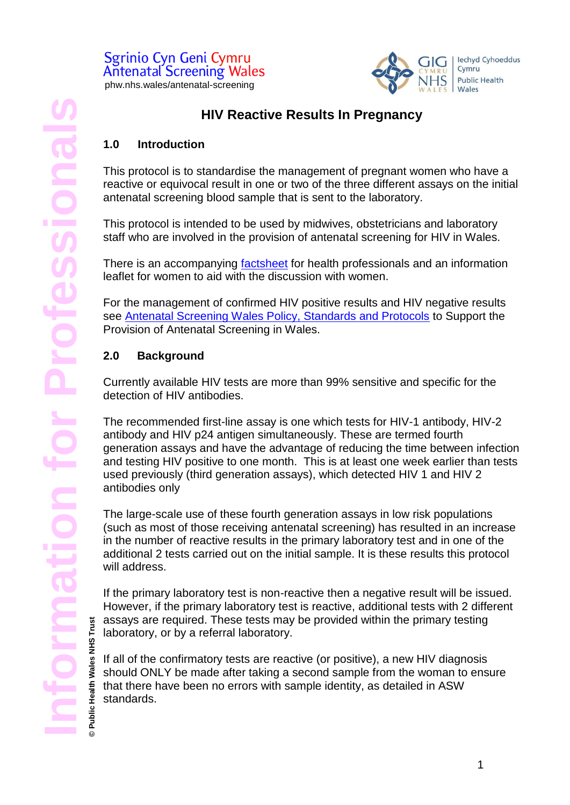#### Sgrinio Cyn Geni Cymru **Antenatal Screening Wales** phw.nhs.wales/antenatal-screening



## **HIV Reactive Results In Pregnancy**

## **1.0 Introduction**

This protocol is to standardise the management of pregnant women who have a reactive or equivocal result in one or two of the three different assays on the initial antenatal screening blood sample that is sent to the laboratory.

This protocol is intended to be used by midwives, obstetricians and laboratory staff who are involved in the provision of antenatal screening for HIV in Wales.

There is an accompanying [factsheet](https://phw.nhs.wales/services-and-teams/screening/antenatal-screening-wales/information-for-professionals/) for health professionals and an information leaflet for women to aid with the discussion with women.

For the management of confirmed HIV positive results and HIV negative results see [Antenatal Screening Wales Policy, Standards and Protocols](https://phw.nhs.wales/services-and-teams/screening/antenatal-screening-wales/information-for-professionals/) to Support the Provision of Antenatal Screening in Wales.

## **2.0 Background**

Currently available HIV tests are more than 99% sensitive and specific for the detection of HIV antibodies.

The recommended first-line assay is one which tests for HIV-1 antibody, HIV-2 antibody and HIV p24 antigen simultaneously. These are termed fourth generation assays and have the advantage of reducing the time between infection and testing HIV positive to one month. This is at least one week earlier than tests used previously (third generation assays), which detected HIV 1 and HIV 2 antibodies only

The large-scale use of these fourth generation assays in low risk populations (such as most of those receiving antenatal screening) has resulted in an increase in the number of reactive results in the primary laboratory test and in one of the additional 2 tests carried out on the initial sample. It is these results this protocol will address.

If the primary laboratory test is non-reactive then a negative result will be issued. However, if the primary laboratory test is reactive, additional tests with 2 different assays are required. These tests may be provided within the primary testing laboratory, or by a referral laboratory.

If all of the confirmatory tests are reactive (or positive), a new HIV diagnosis should ONLY be made after taking a second sample from the woman to ensure that there have been no errors with sample identity, as detailed in ASW standards.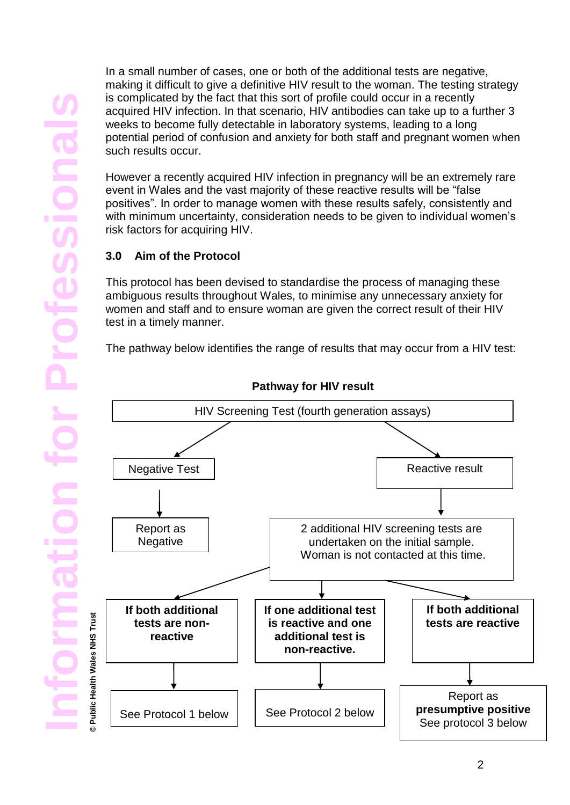In a small number of cases, one or both of the additional tests are negative, making it difficult to give a definitive HIV result to the woman. The testing strategy is complicated by the fact that this sort of profile could occur in a recently acquired HIV infection. In that scenario, HIV antibodies can take up to a further 3 weeks to become fully detectable in laboratory systems, leading to a long potential period of confusion and anxiety for both staff and pregnant women when such results occur.

However a recently acquired HIV infection in pregnancy will be an extremely rare event in Wales and the vast majority of these reactive results will be "false positives". In order to manage women with these results safely, consistently and with minimum uncertainty, consideration needs to be given to individual women's risk factors for acquiring HIV.

## **3.0 Aim of the Protocol**

This protocol has been devised to standardise the process of managing these ambiguous results throughout Wales, to minimise any unnecessary anxiety for women and staff and to ensure woman are given the correct result of their HIV test in a timely manner.

The pathway below identifies the range of results that may occur from a HIV test:



**Pathway for HIV result**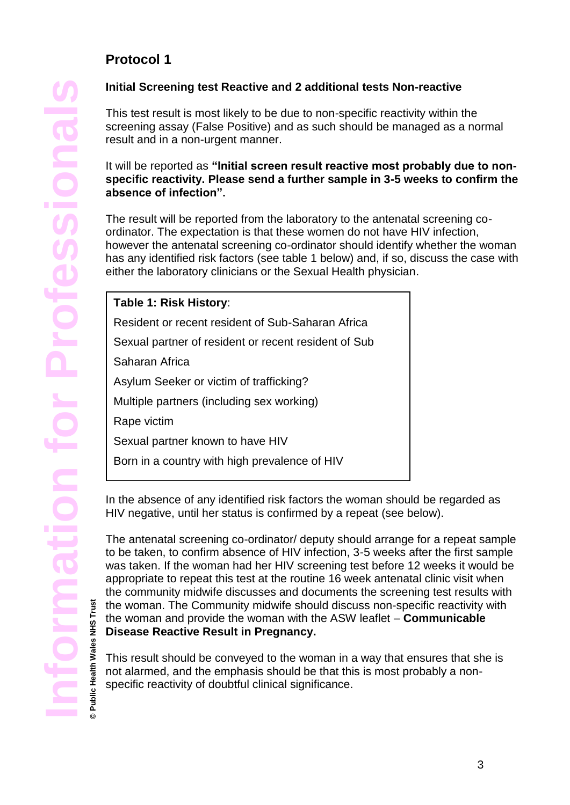## **Protocol 1**

## **Initial Screening test Reactive and 2 additional tests Non-reactive**

This test result is most likely to be due to non-specific reactivity within the screening assay (False Positive) and as such should be managed as a normal result and in a non-urgent manner.

#### It will be reported as **"Initial screen result reactive most probably due to nonspecific reactivity. Please send a further sample in 3-5 weeks to confirm the absence of infection".**

The result will be reported from the laboratory to the antenatal screening coordinator. The expectation is that these women do not have HIV infection, however the antenatal screening co-ordinator should identify whether the woman has any identified risk factors (see table 1 below) and, if so, discuss the case with either the laboratory clinicians or the Sexual Health physician.

| Table 1: Risk History:                               |
|------------------------------------------------------|
| Resident or recent resident of Sub-Saharan Africa    |
| Sexual partner of resident or recent resident of Sub |
| Saharan Africa                                       |
| Asylum Seeker or victim of trafficking?              |
| Multiple partners (including sex working)            |
| Rape victim                                          |
| Sexual partner known to have HIV                     |
| Born in a country with high prevalence of HIV        |

In the absence of any identified risk factors the woman should be regarded as HIV negative, until her status is confirmed by a repeat (see below).

The antenatal screening co-ordinator/ deputy should arrange for a repeat sample to be taken, to confirm absence of HIV infection, 3-5 weeks after the first sample was taken. If the woman had her HIV screening test before 12 weeks it would be appropriate to repeat this test at the routine 16 week antenatal clinic visit when the community midwife discusses and documents the screening test results with the woman. The Community midwife should discuss non-specific reactivity with the woman and provide the woman with the ASW leaflet – **Communicable Disease Reactive Result in Pregnancy.**

This result should be conveyed to the woman in a way that ensures that she is not alarmed, and the emphasis should be that this is most probably a nonspecific reactivity of doubtful clinical significance.